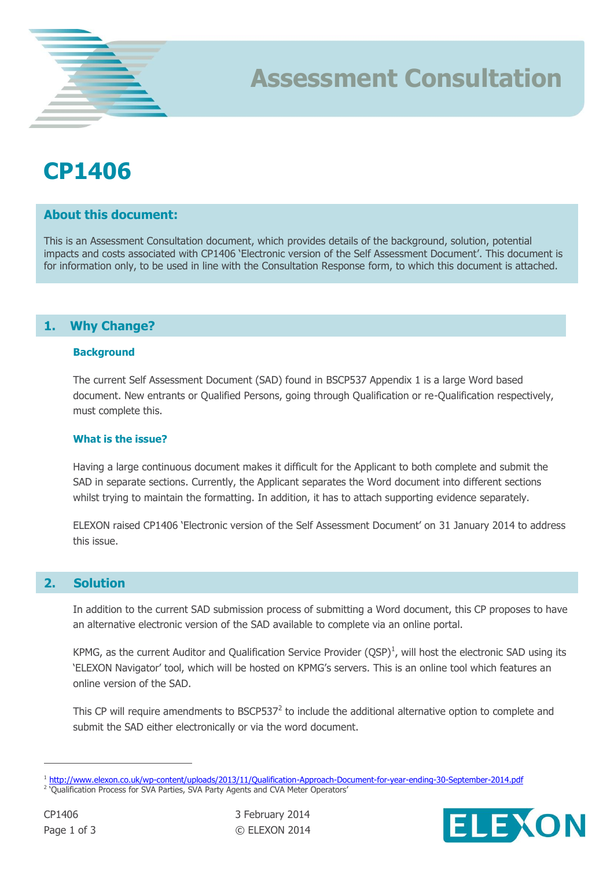## **CP1406**

## **About this document:**

This is an Assessment Consultation document, which provides details of the background, solution, potential impacts and costs associated with CP1406 'Electronic version of the Self Assessment Document'. This document is for information only, to be used in line with the Consultation Response form, to which this document is attached.

**Assessment Consultation**

## **1. Why Change?**

#### **Background**

The current Self Assessment Document (SAD) found in BSCP537 Appendix 1 is a large Word based document. New entrants or Qualified Persons, going through Qualification or re-Qualification respectively, must complete this.

#### **What is the issue?**

Having a large continuous document makes it difficult for the Applicant to both complete and submit the SAD in separate sections. Currently, the Applicant separates the Word document into different sections whilst trying to maintain the formatting. In addition, it has to attach supporting evidence separately.

ELEXON raised CP1406 'Electronic version of the Self Assessment Document' on 31 January 2014 to address this issue.

### **2. Solution**

In addition to the current SAD submission process of submitting a Word document, this CP proposes to have an alternative electronic version of the SAD available to complete via an online portal.

KPMG, as the current Auditor and Qualification Service Provider  $(QSP)^1$ , will host the electronic SAD using its 'ELEXON Navigator' tool, which will be hosted on KPMG's servers. This is an online tool which features an online version of the SAD.

This CP will require amendments to BSCP537 $^2$  to include the additional alternative option to complete and submit the SAD either electronically or via the word document.

 $\overline{a}$ 



<sup>&</sup>lt;sup>1</sup> <http://www.elexon.co.uk/wp-content/uploads/2013/11/Qualification-Approach-Document-for-year-ending-30-September-2014.pdf> <sup>2</sup> 'Qualification Process for SVA Parties, SVA Party Agents and CVA Meter Operators'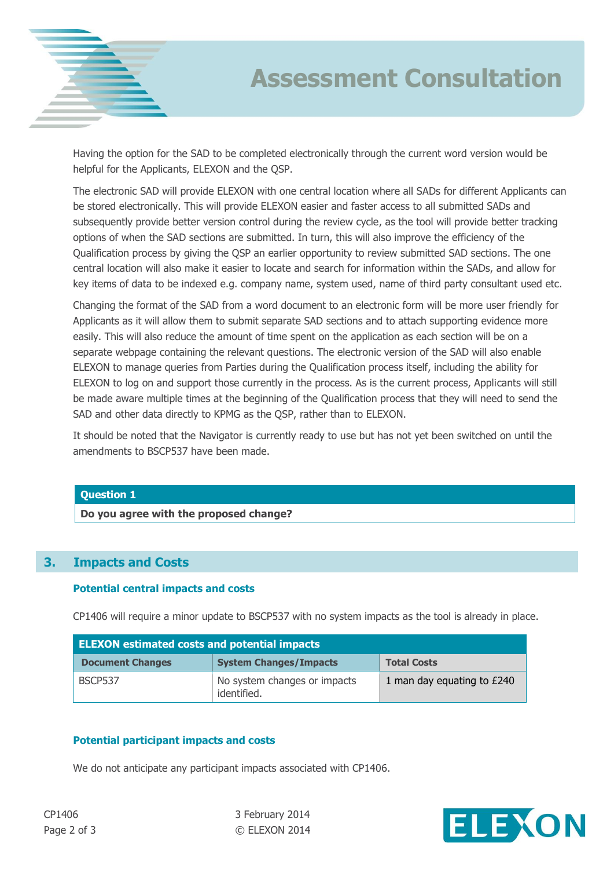

# **Assessment Consultation**

Having the option for the SAD to be completed electronically through the current word version would be helpful for the Applicants, ELEXON and the QSP.

The electronic SAD will provide ELEXON with one central location where all SADs for different Applicants can be stored electronically. This will provide ELEXON easier and faster access to all submitted SADs and subsequently provide better version control during the review cycle, as the tool will provide better tracking options of when the SAD sections are submitted. In turn, this will also improve the efficiency of the Qualification process by giving the QSP an earlier opportunity to review submitted SAD sections. The one central location will also make it easier to locate and search for information within the SADs, and allow for key items of data to be indexed e.g. company name, system used, name of third party consultant used etc.

Changing the format of the SAD from a word document to an electronic form will be more user friendly for Applicants as it will allow them to submit separate SAD sections and to attach supporting evidence more easily. This will also reduce the amount of time spent on the application as each section will be on a separate webpage containing the relevant questions. The electronic version of the SAD will also enable ELEXON to manage queries from Parties during the Qualification process itself, including the ability for ELEXON to log on and support those currently in the process. As is the current process, Applicants will still be made aware multiple times at the beginning of the Qualification process that they will need to send the SAD and other data directly to KPMG as the QSP, rather than to ELEXON.

It should be noted that the Navigator is currently ready to use but has not yet been switched on until the amendments to BSCP537 have been made.

#### **Question 1**

**Do you agree with the proposed change?**

## **3. Impacts and Costs**

#### **Potential central impacts and costs**

CP1406 will require a minor update to BSCP537 with no system impacts as the tool is already in place.

| <b>ELEXON estimated costs and potential impacts</b> |                                             |                            |
|-----------------------------------------------------|---------------------------------------------|----------------------------|
| <b>Document Changes</b>                             | <b>System Changes/Impacts</b>               | <b>Total Costs</b>         |
| BSCP537                                             | No system changes or impacts<br>identified. | 1 man day equating to £240 |

#### **Potential participant impacts and costs**

We do not anticipate any participant impacts associated with CP1406.